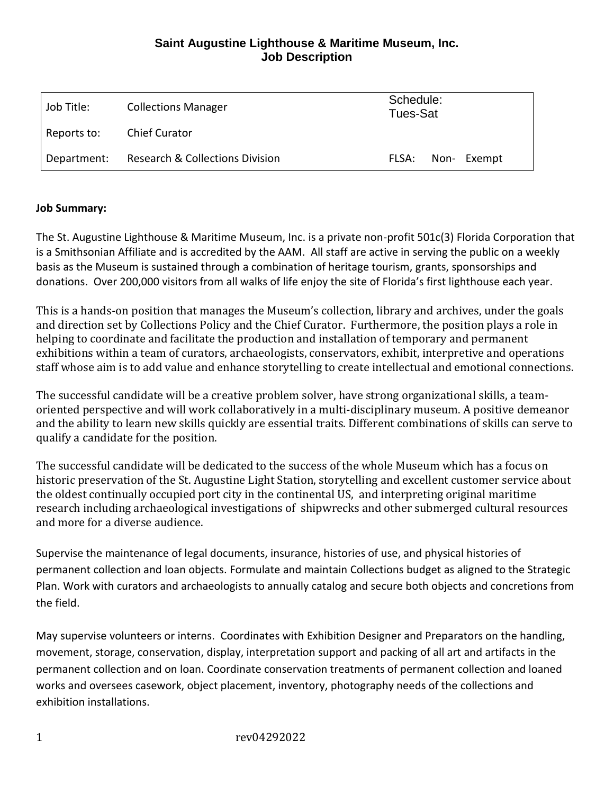# **Saint Augustine Lighthouse & Maritime Museum, Inc. Job Description**

| Job Title:  | <b>Collections Manager</b>                 | Schedule:<br>Tues-Sat |  |             |
|-------------|--------------------------------------------|-----------------------|--|-------------|
| Reports to: | <b>Chief Curator</b>                       |                       |  |             |
| Department: | <b>Research &amp; Collections Division</b> | FLSA:                 |  | Non- Exempt |

#### **Job Summary:**

The St. Augustine Lighthouse & Maritime Museum, Inc. is a private non-profit 501c(3) Florida Corporation that is a Smithsonian Affiliate and is accredited by the AAM. All staff are active in serving the public on a weekly basis as the Museum is sustained through a combination of heritage tourism, grants, sponsorships and donations. Over 200,000 visitors from all walks of life enjoy the site of Florida's first lighthouse each year.

This is a hands-on position that manages the Museum's collection, library and archives, under the goals and direction set by Collections Policy and the Chief Curator. Furthermore, the position plays a role in helping to coordinate and facilitate the production and installation of temporary and permanent exhibitions within a team of curators, archaeologists, conservators, exhibit, interpretive and operations staff whose aim is to add value and enhance storytelling to create intellectual and emotional connections.

The successful candidate will be a creative problem solver, have strong organizational skills, a teamoriented perspective and will work collaboratively in a multi-disciplinary museum. A positive demeanor and the ability to learn new skills quickly are essential traits. Different combinations of skills can serve to qualify a candidate for the position.

The successful candidate will be dedicated to the success of the whole Museum which has a focus on historic preservation of the St. Augustine Light Station, storytelling and excellent customer service about the oldest continually occupied port city in the continental US, and interpreting original maritime research including archaeological investigations of shipwrecks and other submerged cultural resources and more for a diverse audience.

Supervise the maintenance of legal documents, insurance, histories of use, and physical histories of permanent collection and loan objects. Formulate and maintain Collections budget as aligned to the Strategic Plan. Work with curators and archaeologists to annually catalog and secure both objects and concretions from the field.

May supervise volunteers or interns. Coordinates with Exhibition Designer and Preparators on the handling, movement, storage, conservation, display, interpretation support and packing of all art and artifacts in the permanent collection and on loan. Coordinate conservation treatments of permanent collection and loaned works and oversees casework, object placement, inventory, photography needs of the collections and exhibition installations.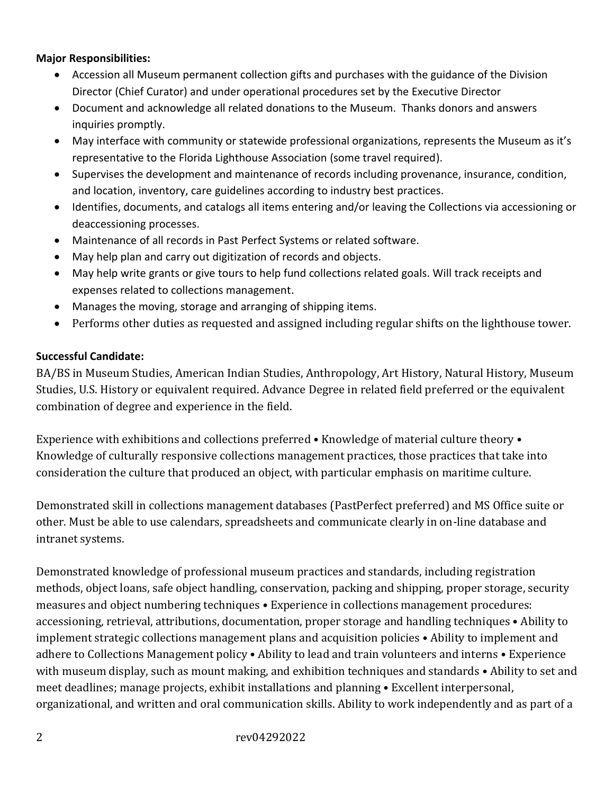#### **Major Responsibilities:**

- Accession all Museum permanent collection gifts and purchases with the guidance of the Division Director (Chief Curator) and under operational procedures set by the Executive Director
- Document and acknowledge all related donations to the Museum. Thanks donors and answers inquiries promptly.
- May interface with community or statewide professional organizations, represents the Museum as it's representative to the Florida Lighthouse Association (some travel required).
- Supervises the development and maintenance of records including provenance, insurance, condition, and location, inventory, care guidelines according to industry best practices.
- Identifies, documents, and catalogs all items entering and/or leaving the Collections via accessioning or deaccessioning processes.
- Maintenance of all records in Past Perfect Systems or related software.
- May help plan and carry out digitization of records and objects.
- May help write grants or give tours to help fund collections related goals. Will track receipts and expenses related to collections management.
- Manages the moving, storage and arranging of shipping items.
- Performs other duties as requested and assigned including regular shifts on the lighthouse tower.

### **Successful Candidate:**

BA/BS in Museum Studies, American Indian Studies, Anthropology, Art History, Natural History, Museum Studies, U.S. History or equivalent required. Advance Degree in related field preferred or the equivalent combination of degree and experience in the field.

Experience with exhibitions and collections preferred • Knowledge of material culture theory • Knowledge of culturally responsive collections management practices, those practices that take into consideration the culture that produced an object, with particular emphasis on maritime culture.

Demonstrated skill in collections management databases (PastPerfect preferred) and MS Office suite or other. Must be able to use calendars, spreadsheets and communicate clearly in on-line database and intranet systems.

Demonstrated knowledge of professional museum practices and standards, including registration methods, object loans, safe object handling, conservation, packing and shipping, proper storage, security measures and object numbering techniques • Experience in collections management procedures: accessioning, retrieval, attributions, documentation, proper storage and handling techniques • Ability to implement strategic collections management plans and acquisition policies • Ability to implement and adhere to Collections Management policy • Ability to lead and train volunteers and interns • Experience with museum display, such as mount making, and exhibition techniques and standards • Ability to set and meet deadlines; manage projects, exhibit installations and planning • Excellent interpersonal, organizational, and written and oral communication skills. Ability to work independently and as part of a